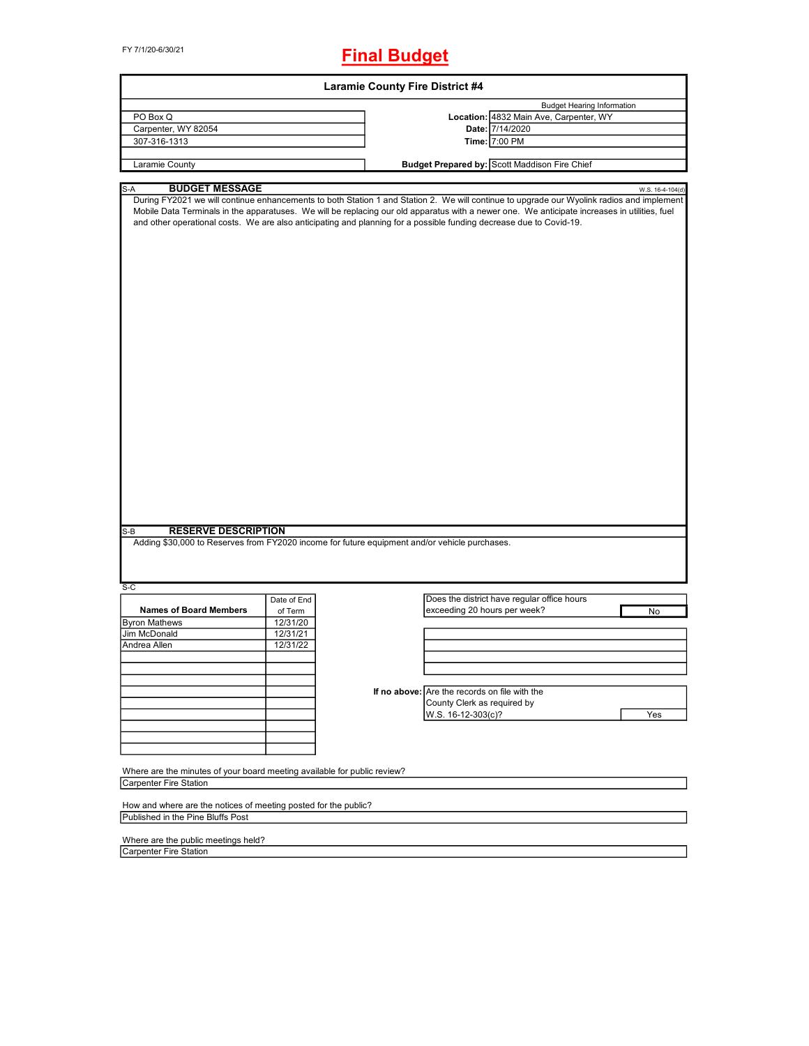FY 7/1/20-6/30/21

# **Final Budget**

|                                                                                                                                           |             | Laramie County Fire District #4 |                                                                                                                                                                                                                                                                                                                                                                                                                   |                                   |
|-------------------------------------------------------------------------------------------------------------------------------------------|-------------|---------------------------------|-------------------------------------------------------------------------------------------------------------------------------------------------------------------------------------------------------------------------------------------------------------------------------------------------------------------------------------------------------------------------------------------------------------------|-----------------------------------|
|                                                                                                                                           |             |                                 |                                                                                                                                                                                                                                                                                                                                                                                                                   | <b>Budget Hearing Information</b> |
| PO Box Q                                                                                                                                  |             |                                 | Location: 4832 Main Ave, Carpenter, WY                                                                                                                                                                                                                                                                                                                                                                            |                                   |
| Carpenter, WY 82054                                                                                                                       |             |                                 | Date: 7/14/2020                                                                                                                                                                                                                                                                                                                                                                                                   |                                   |
| 307-316-1313                                                                                                                              |             |                                 | Time: 7:00 PM                                                                                                                                                                                                                                                                                                                                                                                                     |                                   |
|                                                                                                                                           |             |                                 |                                                                                                                                                                                                                                                                                                                                                                                                                   |                                   |
| Laramie County                                                                                                                            |             |                                 | <b>Budget Prepared by: Scott Maddison Fire Chief</b>                                                                                                                                                                                                                                                                                                                                                              |                                   |
|                                                                                                                                           |             |                                 |                                                                                                                                                                                                                                                                                                                                                                                                                   |                                   |
| <b>BUDGET MESSAGE</b><br>S-A                                                                                                              |             |                                 | During FY2021 we will continue enhancements to both Station 1 and Station 2. We will continue to upgrade our Wyolink radios and implement<br>Mobile Data Terminals in the apparatuses. We will be replacing our old apparatus with a newer one. We anticipate increases in utilities, fuel<br>and other operational costs. We are also anticipating and planning for a possible funding decrease due to Covid-19. | W.S. 16-4-104(d)                  |
| <b>RESERVE DESCRIPTION</b><br>S-B<br>Adding \$30,000 to Reserves from FY2020 income for future equipment and/or vehicle purchases.<br>S-C |             |                                 |                                                                                                                                                                                                                                                                                                                                                                                                                   |                                   |
|                                                                                                                                           | Date of End |                                 | Does the district have regular office hours                                                                                                                                                                                                                                                                                                                                                                       |                                   |
| <b>Names of Board Members</b>                                                                                                             | of Term     |                                 | exceeding 20 hours per week?                                                                                                                                                                                                                                                                                                                                                                                      | No                                |
| <b>Byron Mathews</b>                                                                                                                      | 12/31/20    |                                 |                                                                                                                                                                                                                                                                                                                                                                                                                   |                                   |
| Jim McDonald                                                                                                                              | 12/31/21    |                                 |                                                                                                                                                                                                                                                                                                                                                                                                                   |                                   |
| Andrea Allen                                                                                                                              | 12/31/22    |                                 |                                                                                                                                                                                                                                                                                                                                                                                                                   |                                   |
|                                                                                                                                           |             |                                 |                                                                                                                                                                                                                                                                                                                                                                                                                   |                                   |
|                                                                                                                                           |             |                                 |                                                                                                                                                                                                                                                                                                                                                                                                                   |                                   |
|                                                                                                                                           |             |                                 |                                                                                                                                                                                                                                                                                                                                                                                                                   |                                   |
|                                                                                                                                           |             |                                 | If no above: Are the records on file with the                                                                                                                                                                                                                                                                                                                                                                     |                                   |
|                                                                                                                                           |             |                                 |                                                                                                                                                                                                                                                                                                                                                                                                                   |                                   |
|                                                                                                                                           |             |                                 | County Clerk as required by                                                                                                                                                                                                                                                                                                                                                                                       |                                   |
|                                                                                                                                           |             |                                 | W.S. 16-12-303(c)?                                                                                                                                                                                                                                                                                                                                                                                                | Yes                               |
|                                                                                                                                           |             |                                 |                                                                                                                                                                                                                                                                                                                                                                                                                   |                                   |
|                                                                                                                                           |             |                                 |                                                                                                                                                                                                                                                                                                                                                                                                                   |                                   |
|                                                                                                                                           |             |                                 |                                                                                                                                                                                                                                                                                                                                                                                                                   |                                   |
|                                                                                                                                           |             |                                 |                                                                                                                                                                                                                                                                                                                                                                                                                   |                                   |
| Where are the minutes of your board meeting available for public review?                                                                  |             |                                 |                                                                                                                                                                                                                                                                                                                                                                                                                   |                                   |
| Carpenter Fire Station                                                                                                                    |             |                                 |                                                                                                                                                                                                                                                                                                                                                                                                                   |                                   |
|                                                                                                                                           |             |                                 |                                                                                                                                                                                                                                                                                                                                                                                                                   |                                   |
| How and where are the notices of meeting posted for the public?<br>Published in the Pine Bluffs Post                                      |             |                                 |                                                                                                                                                                                                                                                                                                                                                                                                                   |                                   |
|                                                                                                                                           |             |                                 |                                                                                                                                                                                                                                                                                                                                                                                                                   |                                   |
| Where are the public meetings held?                                                                                                       |             |                                 |                                                                                                                                                                                                                                                                                                                                                                                                                   |                                   |

 $\overline{\phantom{0}}$ 

Carpenter Fire Station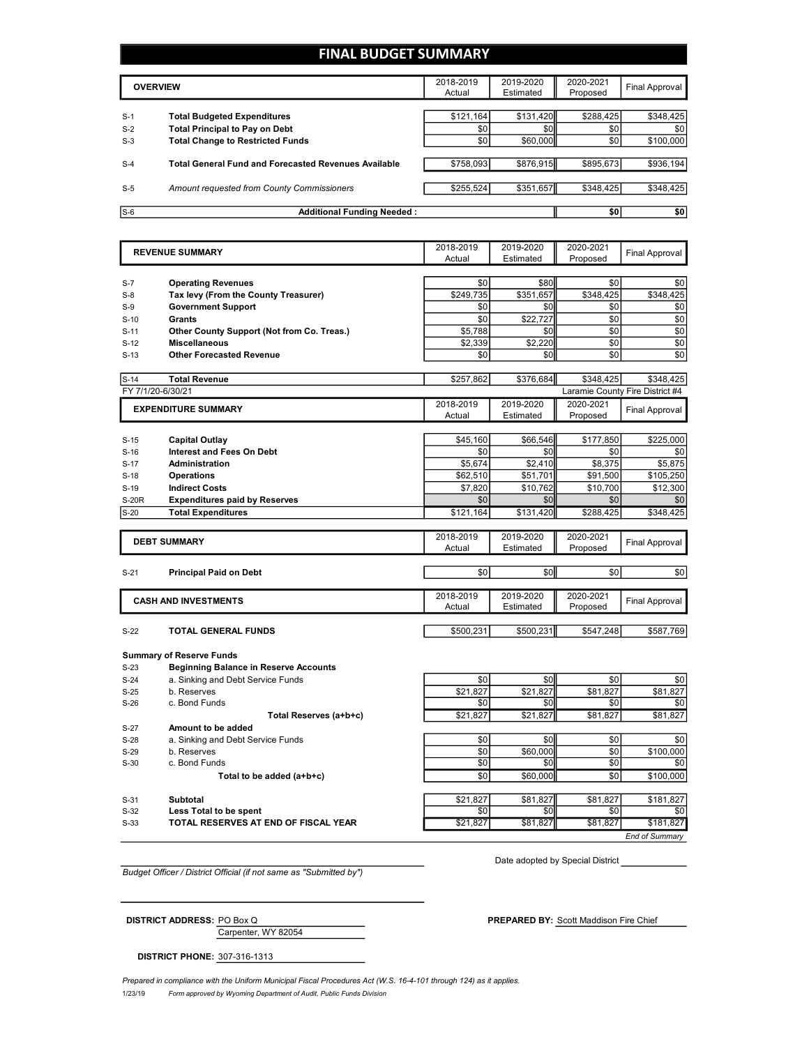## **FINAL BUDGET SUMMARY**

|       | <b>OVERVIEW</b>                                             | 2018-2019<br>Actual | 2019-2020<br>Estimated | 2020-2021<br>Proposed | Final Approval |
|-------|-------------------------------------------------------------|---------------------|------------------------|-----------------------|----------------|
|       |                                                             |                     |                        |                       |                |
| $S-1$ | <b>Total Budgeted Expenditures</b>                          | \$121,164           | \$131,420              | \$288,425             | \$348,425      |
| $S-2$ | <b>Total Principal to Pay on Debt</b>                       | \$0                 | \$0                    | \$0                   | \$0            |
| $S-3$ | <b>Total Change to Restricted Funds</b>                     | \$0                 | \$60,000               | \$0                   | \$100,000      |
|       |                                                             |                     |                        |                       |                |
| $S-4$ | <b>Total General Fund and Forecasted Revenues Available</b> | \$758,093           | \$876,915              | \$895,673             | \$936,194      |
|       |                                                             |                     |                        |                       |                |
| $S-5$ | Amount requested from County Commissioners                  | \$255,524           | \$351,657              | \$348.425             | \$348,425      |
|       |                                                             |                     |                        |                       |                |
| $S-6$ | <b>Additional Funding Needed:</b>                           |                     |                        | \$0                   | \$0            |

|                   | <b>REVENUE SUMMARY</b>                                                          |                 | 2019-2020<br>Estimated | 2020-2021<br>Proposed | <b>Final Approval</b>           |
|-------------------|---------------------------------------------------------------------------------|-----------------|------------------------|-----------------------|---------------------------------|
|                   |                                                                                 |                 |                        |                       |                                 |
| $S-7$             | <b>Operating Revenues</b>                                                       | \$0             | \$80                   | \$0                   | \$0                             |
| $S-8$             | Tax levy (From the County Treasurer)                                            | \$249,735       | \$351,657              | \$348,425             | \$348,425                       |
| $S-9$             | <b>Government Support</b>                                                       | \$0             | \$0                    | \$0                   | \$0                             |
| $S-10$            | Grants                                                                          | \$0             | \$22,727               | \$0                   | \$0                             |
| $S-11$            | Other County Support (Not from Co. Treas.)                                      | \$5,788         | \$0                    | \$0                   | \$0                             |
| $S-12$            | <b>Miscellaneous</b>                                                            | \$2,339         | \$2,220                | \$0                   | \$0                             |
| $S-13$            | <b>Other Forecasted Revenue</b>                                                 | \$0             | \$0                    | \$0                   | \$0                             |
| $S-14$            | <b>Total Revenue</b>                                                            | \$257.862       | \$376.684              | \$348.425             | \$348.425                       |
| FY 7/1/20-6/30/21 |                                                                                 |                 |                        |                       | Laramie County Fire District #4 |
|                   |                                                                                 | 2018-2019       | 2019-2020              | 2020-2021             |                                 |
|                   | <b>EXPENDITURE SUMMARY</b>                                                      | Actual          | Estimated              | Proposed              | <b>Final Approval</b>           |
|                   |                                                                                 |                 |                        |                       |                                 |
| $S-15$            | <b>Capital Outlay</b>                                                           | \$45,160        | \$66,546               | \$177,850             | \$225,000                       |
| $S-16$            | <b>Interest and Fees On Debt</b>                                                | \$0             | \$0                    | \$0                   | \$0                             |
| $S-17$            | <b>Administration</b>                                                           | \$5,674         | \$2,410                | \$8,375               | \$5,875                         |
| $S-18$            | <b>Operations</b>                                                               | \$62,510        | \$51,701               | \$91,500              | \$105,250                       |
| $S-19$            | <b>Indirect Costs</b>                                                           | \$7,820         | \$10,762               | \$10,700              | \$12,300                        |
| <b>S-20R</b>      | <b>Expenditures paid by Reserves</b>                                            | \$0             | \$0                    | \$0                   | \$0                             |
| $S-20$            | <b>Total Expenditures</b>                                                       | \$121,164       | \$131,420              | \$288,425             | \$348,425                       |
|                   |                                                                                 |                 |                        |                       |                                 |
|                   |                                                                                 | 2018-2019       | 2019-2020              | 2020-2021             |                                 |
|                   | <b>DEBT SUMMARY</b>                                                             | Actual          | Estimated              | Proposed              | <b>Final Approval</b>           |
|                   |                                                                                 |                 |                        |                       |                                 |
| $S-21$            | <b>Principal Paid on Debt</b>                                                   | \$0             | \$0                    | \$0                   | \$0                             |
|                   |                                                                                 |                 |                        |                       |                                 |
|                   | <b>CASH AND INVESTMENTS</b>                                                     | 2018-2019       | 2019-2020              | 2020-2021             | <b>Final Approval</b>           |
|                   |                                                                                 | Actual          | Estimated              | Proposed              |                                 |
|                   |                                                                                 |                 |                        |                       |                                 |
| $S-22$            | TOTAL GENERAL FUNDS                                                             | \$500,231       | \$500,231              | \$547,248             | \$587,769                       |
|                   |                                                                                 |                 |                        |                       |                                 |
|                   | <b>Summary of Reserve Funds</b><br><b>Beginning Balance in Reserve Accounts</b> |                 |                        |                       |                                 |
|                   |                                                                                 |                 |                        |                       |                                 |
| $S-23$            |                                                                                 |                 |                        |                       |                                 |
| $S-24$            | a. Sinking and Debt Service Funds                                               | \$0             | \$0                    | \$0                   | \$0                             |
| $S-25$            | b. Reserves                                                                     | \$21,827        | \$21,827               | \$81,827              | \$81,827                        |
| $S-26$            | c. Bond Funds                                                                   | \$0             | \$0                    | \$0                   | \$0                             |
|                   | Total Reserves (a+b+c)                                                          | \$21,827        | \$21,827               | \$81,827              | \$81,827                        |
| $S-27$            | Amount to be added                                                              |                 |                        |                       |                                 |
| $S-28$            | a. Sinking and Debt Service Funds                                               | \$0             | \$0                    | \$0                   | \$0                             |
| $S-29$            | b. Reserves                                                                     | \$0             | \$60,000               | \$0                   | \$100,000                       |
| $S-30$            | c. Bond Funds                                                                   | \$0             | \$0                    | \$0                   | \$0                             |
|                   | Total to be added (a+b+c)                                                       | \$0             | \$60,000               | \$0                   | \$100,000                       |
|                   |                                                                                 |                 |                        |                       |                                 |
| $S-31$            | Subtotal                                                                        | \$21,827        | \$81,827               | \$81,827              | \$181,827                       |
| $S-32$<br>$S-33$  | Less Total to be spent<br>TOTAL RESERVES AT END OF FISCAL YEAR                  | \$0<br>\$21,827 | \$0<br>\$81,827        | \$0<br>\$81.827       | \$0<br>\$181.827                |

*Budget Officer / District Official (if not same as "Submitted by")*

Date adopted by Special District

Carpenter, WY 82054 **DISTRICT ADDRESS:** PO Box Q **PREPARED BY:** Scott Maddison Fire Chief

**DISTRICT PHONE:** 307-316-1313

1/23/19 *Form approved by Wyoming Department of Audit, Public Funds Division Prepared in compliance with the Uniform Municipal Fiscal Procedures Act (W.S. 16-4-101 through 124) as it applies.*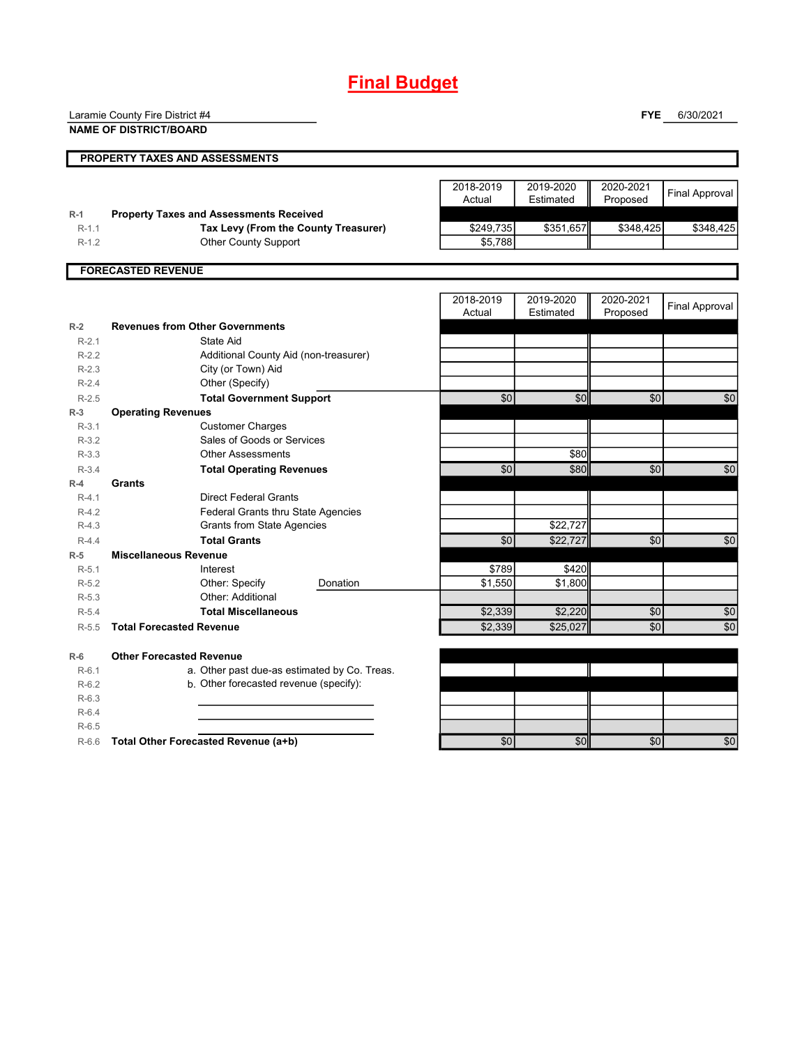## **Final Budget**

**PROPERTY TAXES AND ASSESSMENTS** 2018-2019 Actual 2019-2020 Estimated 2020-2021 2020-2021 Final Approval **R-1 Property Taxes and Assessments Received** R-1.1 **Tax Levy (From the County Treasurer)** \$249,735 \$351,657 \$348,425 \$348,425 R-1.2 **Other County Support 55,788 FORECASTED REVENUE** 2018-2019 Actual 2019-2020 Estimated 2020-2021 Proposed Final Approval **R-2 Revenues from Other Governments** R-2.1 R-2.2 R-2.3 R-2.4 Other (Specify) R-2.5 **Total Government Support** \$0 \$0 \$0 \$0 **R-3 Operating Revenues** R-3.1 R-3.2 R-3.3 **Communication Communication Communication Communication Communication Communication Communication Communication S80** R-3.4 **Total Operating Revenues** \$0| \$0| \$0| \$0 **R-4 Grants** R-4.1 Direct Federal Grants R-4.2 Federal Grants thru State Agencies R-4.3 Grants from State Agencies **1988** Canada Control Control (Section 1982, 727 R-4.4 **Total Grants** \$0 \$22,727 \$0 \$0 **R-5 Miscellaneous Revenue** R-5.1 **hterest https://www.fluide.org/community/community/community/state of the S420**  $\frac{1}{2}$ R-5.2 **Cther: Specify Donation Contract Contract Contract Structure Contract Contract Contract Contract Contract Structure Structure Structure Structure Structure Structure Structure Structure Structure Structure Structure** R-5.3 R-5.4 **Total Miscellaneous** \$2,339 \$2,220 \$0 \$0 R-5.5 **Total Forecasted Revenue** \$2,339 \$25,027 \$0 \$0 **R-6 Other Forecasted Revenue** R-6.1 **a. Other past due-as estimated by Co. Treas.** R-6.2 b. Other forecasted revenue (specify): R-6.3 R-6.4 R-6.5 R-6.6 **Total Other Forecasted Revenue (a+b)** \$0 \$0 \$0 \$0 City (or Town) Aid State Aid Additional County Aid (non-treasurer) Other: Additional Interest Sales of Goods or Services Customer Charges Donation Laramie County Fire District #4 **NAME OF DISTRICT/BOARD**

**FYE** 6/30/2021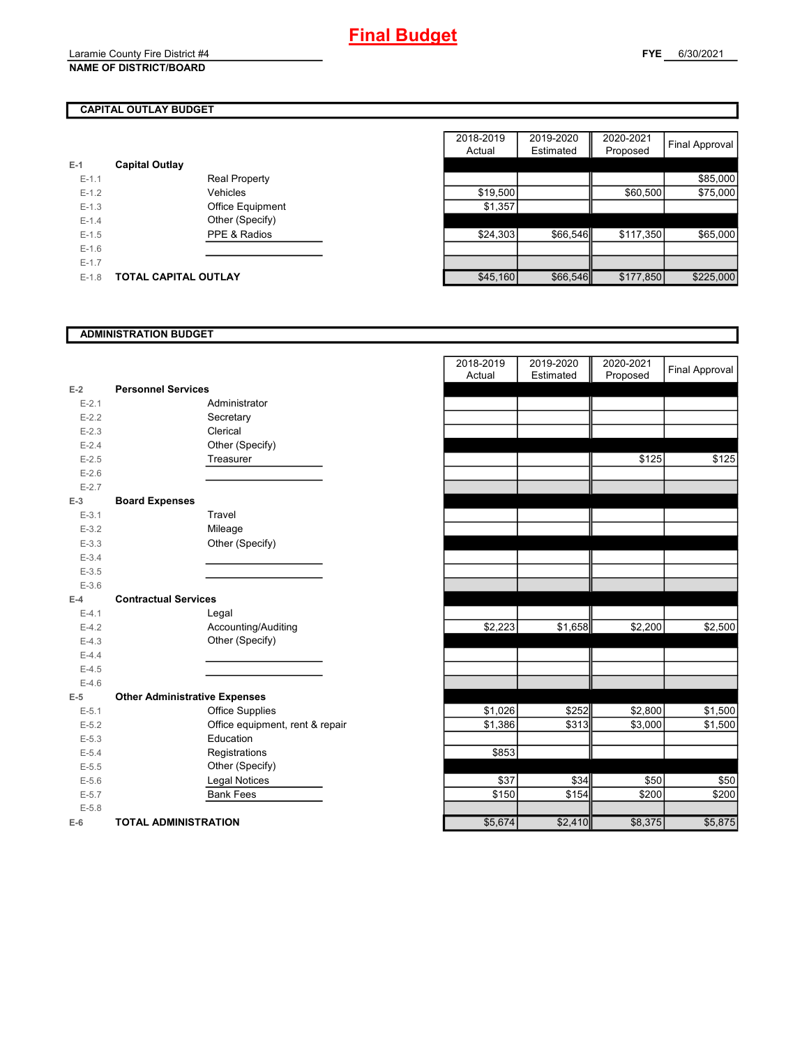## **CAPITAL OUTLAY BUDGET**

| $E-1$     | <b>Capital Outlay</b>       |                         |          |
|-----------|-----------------------------|-------------------------|----------|
| $E - 1.1$ |                             | <b>Real Property</b>    |          |
| $E-1.2$   |                             | Vehicles                | \$19,500 |
| $E - 1.3$ |                             | <b>Office Equipment</b> | \$1,357  |
| $E - 1.4$ |                             | Other (Specify)         |          |
| $E - 1.5$ |                             | PPE & Radios            | \$24.303 |
| $E - 1.6$ |                             |                         |          |
| $E-1.7$   |                             |                         |          |
| $E-1.8$   | <b>TOTAL CAPITAL OUTLAY</b> |                         | \$45,160 |

|         |                             |                  | 2018-2019 | 2019-2020 | 2020-2021 |                |
|---------|-----------------------------|------------------|-----------|-----------|-----------|----------------|
|         |                             |                  | Actual    | Estimated | Proposed  | Final Approval |
|         | <b>Capital Outlay</b>       |                  |           |           |           |                |
| $E-1.1$ |                             | Real Property    |           |           |           | \$85,000       |
| $E-1.2$ |                             | Vehicles         | \$19,500  |           | \$60,500  | \$75,000       |
| $E-1.3$ |                             | Office Equipment | \$1,357   |           |           |                |
| $E-1.4$ |                             | Other (Specify)  |           |           |           |                |
| $E-1.5$ |                             | PPE & Radios     | \$24,303  | \$66,546  | \$117,350 | \$65,000       |
| $E-1.6$ |                             |                  |           |           |           |                |
| $E-1.7$ |                             |                  |           |           |           |                |
| $E-1.8$ | <b>TOTAL CAPITAL OUTLAY</b> |                  | \$45,160  | \$66,546  | \$177,850 | \$225,000      |

## **ADMINISTRATION BUDGET**

|           |                                      |                                 | Actual  |
|-----------|--------------------------------------|---------------------------------|---------|
| $E-2$     | <b>Personnel Services</b>            |                                 |         |
| $E - 2.1$ |                                      | Administrator                   |         |
| $E-2.2$   |                                      | Secretary                       |         |
| $E - 2.3$ |                                      | Clerical                        |         |
| $E-2.4$   |                                      | Other (Specify)                 |         |
| $E-2.5$   |                                      | Treasurer                       |         |
| $E - 2.6$ |                                      |                                 |         |
| $E - 2.7$ |                                      |                                 |         |
| $E-3$     | <b>Board Expenses</b>                |                                 |         |
| $E - 3.1$ |                                      | Travel                          |         |
| $E-3.2$   |                                      | Mileage                         |         |
| $E - 3.3$ |                                      | Other (Specify)                 |         |
| $E - 3.4$ |                                      |                                 |         |
| $E - 3.5$ |                                      |                                 |         |
| $E - 3.6$ |                                      |                                 |         |
| $E-4$     | <b>Contractual Services</b>          |                                 |         |
| $E - 4.1$ |                                      | Legal                           |         |
| $E-4.2$   |                                      | Accounting/Auditing             | \$2,223 |
| $E-4.3$   |                                      | Other (Specify)                 |         |
| $E - 4.4$ |                                      |                                 |         |
| $E-4.5$   |                                      |                                 |         |
| $E-4.6$   |                                      |                                 |         |
| $E-5$     | <b>Other Administrative Expenses</b> |                                 |         |
| $E - 5.1$ |                                      | <b>Office Supplies</b>          | \$1,026 |
| $E - 5.2$ |                                      | Office equipment, rent & repair | \$1,386 |
| $E - 5.3$ |                                      | Education                       |         |
| $E - 5.4$ |                                      | Registrations                   | \$853   |
| $E-5.5$   |                                      | Other (Specify)                 |         |
| $E - 5.6$ |                                      | <b>Legal Notices</b>            | \$37    |
| $E - 5.7$ |                                      | <b>Bank Fees</b>                | \$150   |
| $E - 5.8$ |                                      |                                 |         |
| $E-6$     | <b>TOTAL ADMINISTRATION</b>          |                                 | \$5,674 |

|                          |                                      | 2018-2019<br>Actual | 2019-2020<br>Estimated | 2020-2021<br>Proposed | <b>Final Approval</b> |
|--------------------------|--------------------------------------|---------------------|------------------------|-----------------------|-----------------------|
| Z                        | <b>Personnel Services</b>            |                     |                        |                       |                       |
| $E - 2.1$                | Administrator                        |                     |                        |                       |                       |
| $E - 2.2$                | Secretary                            |                     |                        |                       |                       |
| $E-2.3$                  | Clerical                             |                     |                        |                       |                       |
| $E - 2.4$                | Other (Specify)                      |                     |                        |                       |                       |
| $E - 2.5$                | Treasurer                            |                     |                        | \$125                 | \$125                 |
| $E - 2.6$                |                                      |                     |                        |                       |                       |
| $E - 2.7$                |                                      |                     |                        |                       |                       |
| $\overline{\phantom{0}}$ | <b>Board Expenses</b>                |                     |                        |                       |                       |
| $E - 3.1$                | Travel                               |                     |                        |                       |                       |
| $E - 3.2$                | Mileage                              |                     |                        |                       |                       |
| $E - 3.3$                | Other (Specify)                      |                     |                        |                       |                       |
| $E - 3.4$                |                                      |                     |                        |                       |                       |
| $E - 3.5$                |                                      |                     |                        |                       |                       |
| $E - 3.6$                |                                      |                     |                        |                       |                       |
| ı.                       | <b>Contractual Services</b>          |                     |                        |                       |                       |
| $E - 4.1$                | Legal                                |                     |                        |                       |                       |
| $E-4.2$                  | Accounting/Auditing                  | \$2,223             | \$1,658                | \$2,200               | \$2,500               |
| $E - 4.3$                | Other (Specify)                      |                     |                        |                       |                       |
| $E - 4.4$                |                                      |                     |                        |                       |                       |
| $E - 4.5$                |                                      |                     |                        |                       |                       |
| $E - 4.6$                |                                      |                     |                        |                       |                       |
| 5                        | <b>Other Administrative Expenses</b> |                     |                        |                       |                       |
| $E - 5.1$                | Office Supplies                      | \$1,026             | \$252                  | \$2,800               | \$1,500               |
| $E - 5.2$                | Office equipment, rent & repair      | \$1,386             | \$313                  | \$3,000               | \$1,500               |
| $E - 5.3$                | Education                            |                     |                        |                       |                       |
| $E - 5.4$                | Registrations                        | \$853               |                        |                       |                       |
| $E - 5.5$                | Other (Specify)                      |                     |                        |                       |                       |
| $E - 5.6$                | <b>Legal Notices</b>                 | \$37                | \$34                   | \$50                  | \$50                  |
| $E - 5.7$                | <b>Bank Fees</b>                     | \$150               | \$154                  | \$200                 | \$200                 |
| $E - 5.8$                |                                      |                     |                        |                       |                       |
| ŝ                        | <b>TOTAL ADMINISTRATION</b>          | \$5,674             | \$2,410                | \$8,375               | \$5,875               |
|                          |                                      |                     |                        |                       |                       |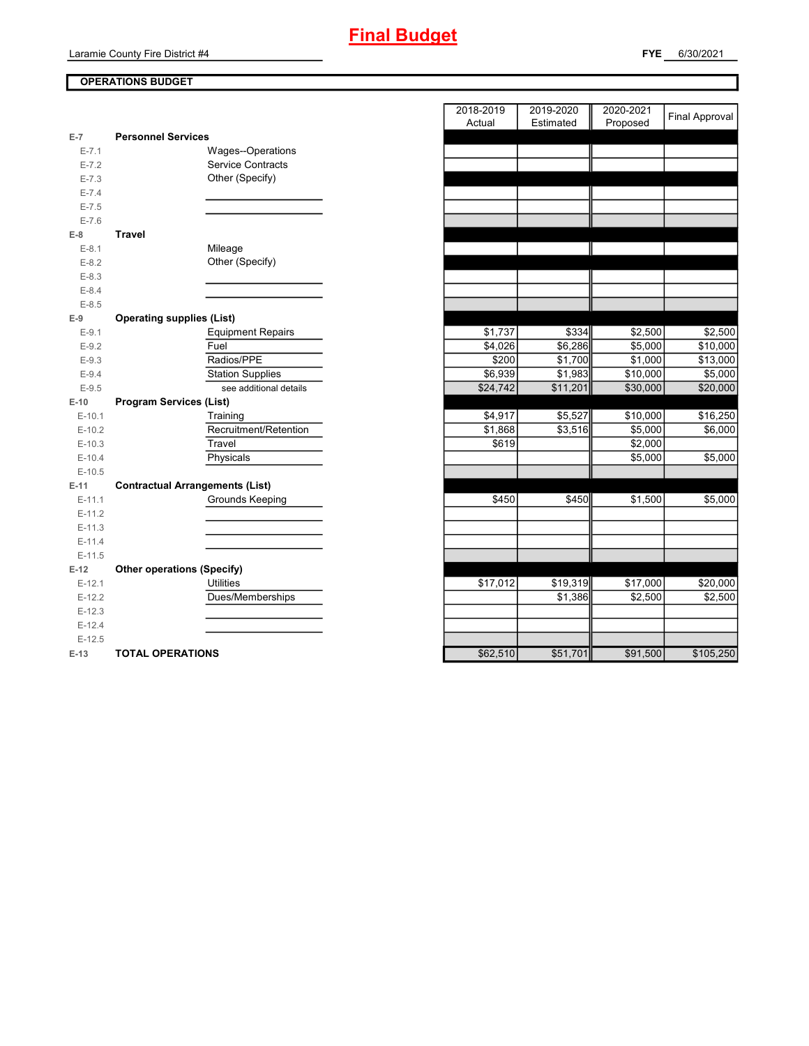Laramie County Fire District #4

## **OPERATIONS BUDGET**

| $E-7$     | <b>Personnel Services</b>              |          |          |                      |           |
|-----------|----------------------------------------|----------|----------|----------------------|-----------|
| $E - 7.1$ | Wages--Operations                      |          |          |                      |           |
| $E - 7.2$ | <b>Service Contracts</b>               |          |          |                      |           |
| $E - 7.3$ | Other (Specify)                        |          |          |                      |           |
| $E - 7.4$ |                                        |          |          |                      |           |
| $E - 7.5$ |                                        |          |          |                      |           |
| $E - 7.6$ |                                        |          |          |                      |           |
| $E-8$     | <b>Travel</b>                          |          |          |                      |           |
| $E-8.1$   | Mileage                                |          |          |                      |           |
| $E-8.2$   | Other (Specify)                        |          |          |                      |           |
| $E-8.3$   |                                        |          |          |                      |           |
| $E-8.4$   |                                        |          |          |                      |           |
| $E - 8.5$ |                                        |          |          |                      |           |
| $E-9$     | <b>Operating supplies (List)</b>       |          |          |                      |           |
| $E-9.1$   | <b>Equipment Repairs</b>               | \$1,737  | \$334    | \$2,500              | \$2,500   |
| $E-9.2$   | Fuel                                   | \$4,026  | \$6,286  | \$5,000              | \$10,000  |
| $E-9.3$   | Radios/PPE                             | \$200    | \$1,700  | \$1,000              | \$13,000  |
| $E-9.4$   | Station Supplies                       | \$6,939  | \$1,983  | $\overline{$}10,000$ | \$5,000   |
| $E-9.5$   | see additional details                 | \$24,742 | \$11,201 | \$30,000             | \$20,000  |
| $E-10$    | <b>Program Services (List)</b>         |          |          |                      |           |
| $E-10.1$  | Training                               | \$4,917  | \$5,527  | \$10,000             | \$16,250  |
| $E-10.2$  | Recruitment/Retention                  | \$1,868  | \$3,516  | \$5,000              | \$6,000   |
| $E-10.3$  | Travel                                 | \$619    |          | \$2,000              |           |
| $E-10.4$  | Physicals                              |          |          | \$5,000              | \$5,000   |
| $E-10.5$  |                                        |          |          |                      |           |
| $E-11$    | <b>Contractual Arrangements (List)</b> |          |          |                      |           |
| $E-11.1$  | Grounds Keeping                        | \$450    | \$450    | \$1,500              | \$5,000   |
| $E-11.2$  |                                        |          |          |                      |           |
| $E-11.3$  |                                        |          |          |                      |           |
| $E-11.4$  |                                        |          |          |                      |           |
| $E-11.5$  |                                        |          |          |                      |           |
| $E-12$    | <b>Other operations (Specify)</b>      |          |          |                      |           |
| $E-12.1$  | <b>Utilities</b>                       | \$17,012 | \$19,319 | \$17,000             | \$20,000  |
| $E-12.2$  | Dues/Memberships                       |          | \$1,386  | \$2,500              | \$2,500   |
| $E-12.3$  |                                        |          |          |                      |           |
| $E-12.4$  |                                        |          |          |                      |           |
| $E-12.5$  |                                        |          |          |                      |           |
| $E-13$    | <b>TOTAL OPERATIONS</b>                | \$62,510 | \$51,701 | \$91,500             | \$105,250 |

|                |                                        | 2018-2019<br>Actual | 2019-2020<br>Estimated | 2020-2021<br>Proposed | <b>Final Approval</b> |
|----------------|----------------------------------------|---------------------|------------------------|-----------------------|-----------------------|
| $\overline{7}$ | <b>Personnel Services</b>              |                     |                        |                       |                       |
| $E - 7.1$      | Wages--Operations                      |                     |                        |                       |                       |
| $E - 7.2$      | <b>Service Contracts</b>               |                     |                        |                       |                       |
| $E - 7.3$      | Other (Specify)                        |                     |                        |                       |                       |
| $E - 7.4$      |                                        |                     |                        |                       |                       |
| $E - 7.5$      |                                        |                     |                        |                       |                       |
| $E - 7.6$      |                                        |                     |                        |                       |                       |
| 8              | <b>Travel</b>                          |                     |                        |                       |                       |
| $E-8.1$        | Mileage                                |                     |                        |                       |                       |
| $E-8.2$        | Other (Specify)                        |                     |                        |                       |                       |
| $E-8.3$        |                                        |                     |                        |                       |                       |
| $E - 8.4$      |                                        |                     |                        |                       |                       |
| $E-8.5$        |                                        |                     |                        |                       |                       |
| 9              | <b>Operating supplies (List)</b>       |                     |                        |                       |                       |
| $E-9.1$        | <b>Equipment Repairs</b>               | \$1,737             | \$334                  | \$2,500               | \$2,500               |
| $E-9.2$        | Fuel                                   | \$4,026             | \$6,286                | \$5,000               | \$10,000              |
| $E-9.3$        | Radios/PPE                             | \$200               | \$1,700                | \$1,000               | \$13,000              |
| $E-9.4$        | <b>Station Supplies</b>                | \$6,939             | $\overline{\$1,983}$   | \$10,000              | \$5,000               |
| $E - 9.5$      | see additional details                 | \$24,742            | \$11,201               | \$30,000              | \$20,000              |
| 10             | <b>Program Services (List)</b>         |                     |                        |                       |                       |
| $E-10.1$       | Training                               | \$4,917             | \$5,527                | \$10,000              | \$16,250              |
| $E-10.2$       | Recruitment/Retention                  | \$1,868             | \$3,516                | \$5,000               | \$6,000               |
| $E-10.3$       | Travel                                 | \$619               |                        | \$2,000               |                       |
| $E-10.4$       | Physicals                              |                     |                        | \$5,000               | \$5,000               |
| $E-10.5$       |                                        |                     |                        |                       |                       |
| $-11$          | <b>Contractual Arrangements (List)</b> |                     |                        |                       |                       |
| $E-11.1$       | Grounds Keeping                        | \$450               | \$450                  | \$1,500               | \$5,000               |
| $E-11.2$       |                                        |                     |                        |                       |                       |
| $E-11.3$       |                                        |                     |                        |                       |                       |
| $E-11.4$       |                                        |                     |                        |                       |                       |
| $E-11.5$       |                                        |                     |                        |                       |                       |
| 12             | <b>Other operations (Specify)</b>      |                     |                        |                       |                       |
| $E-12.1$       | <b>Utilities</b>                       | \$17,012            | \$19,319               | \$17,000              | \$20,000              |
| $E-12.2$       | Dues/Memberships                       |                     | \$1,386                | \$2,500               | \$2,500               |
| $E-12.3$       |                                        |                     |                        |                       |                       |
| $E-12.4$       |                                        |                     |                        |                       |                       |
| $E-12.5$       |                                        |                     |                        |                       |                       |
| $-13$          | <b>TOTAL OPERATIONS</b>                | \$62,510            | \$51701                | \$91,500              | \$105 250             |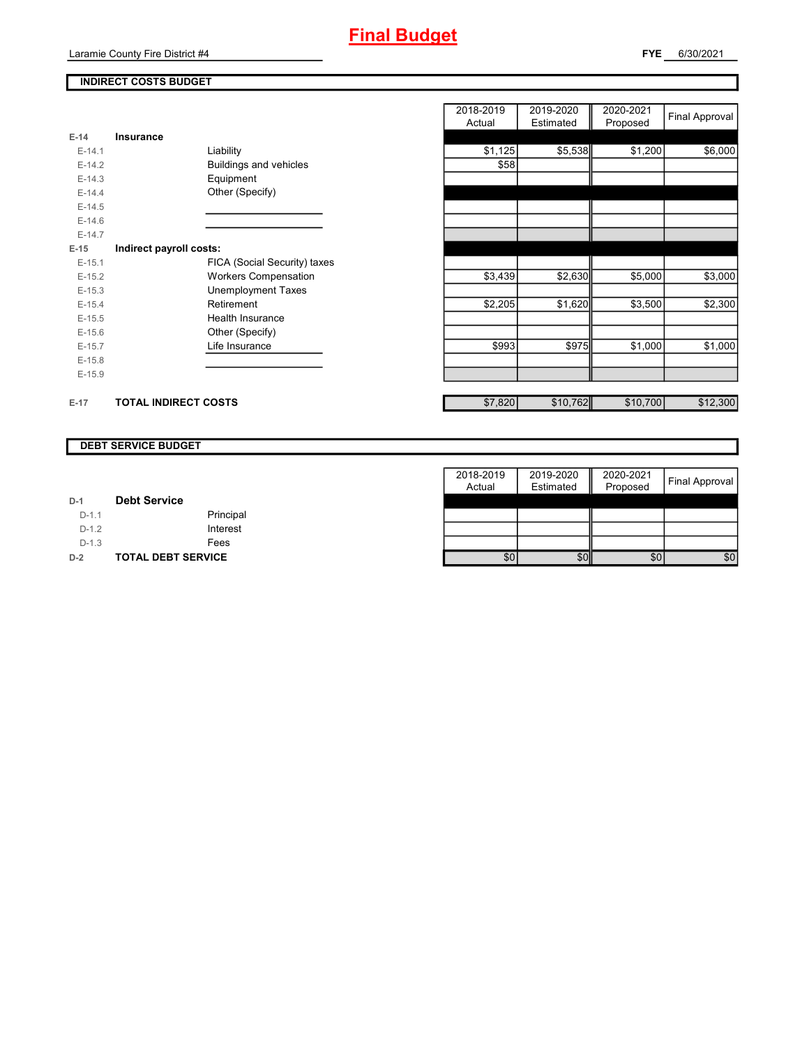

## **INDIRECT COSTS BUDGET**

|          |                              | Actual  |
|----------|------------------------------|---------|
| $E-14$   | <b>Insurance</b>             |         |
| $E-14.1$ | Liability                    | \$1,125 |
| $E-14.2$ | Buildings and vehicles       | \$58    |
| $E-14.3$ | Equipment                    |         |
| $E-14.4$ | Other (Specify)              |         |
| $E-14.5$ |                              |         |
| $E-14.6$ |                              |         |
| $E-14.7$ |                              |         |
| $E-15$   | Indirect payroll costs:      |         |
| $E-15.1$ | FICA (Social Security) taxes |         |
| $E-15.2$ | <b>Workers Compensation</b>  | \$3,439 |
| $E-15.3$ | <b>Unemployment Taxes</b>    |         |
| $E-15.4$ | Retirement                   | \$2,205 |
| $E-15.5$ | Health Insurance             |         |
| $E-15.6$ | Other (Specify)              |         |
| $E-15.7$ | Life Insurance               | \$993   |
| $E-15.8$ |                              |         |
| $E-15.9$ |                              |         |
| $E-17$   | <b>TOTAL INDIRECT COSTS</b>  | \$7,820 |

|          |                             |                              | 2018-2019<br>Actual | 2019-2020<br>Estimated | 2020-2021<br>Proposed | <b>Final Approval</b> |
|----------|-----------------------------|------------------------------|---------------------|------------------------|-----------------------|-----------------------|
| 14       | Insurance                   |                              |                     |                        |                       |                       |
| $E-14.1$ |                             | Liability                    | \$1,125             | \$5,538                | \$1,200               | \$6,000               |
| $E-14.2$ |                             | Buildings and vehicles       | \$58                |                        |                       |                       |
| $E-14.3$ |                             | Equipment                    |                     |                        |                       |                       |
| $E-14.4$ |                             | Other (Specify)              |                     |                        |                       |                       |
| $E-14.5$ |                             |                              |                     |                        |                       |                       |
| $E-14.6$ |                             |                              |                     |                        |                       |                       |
| $E-14.7$ |                             |                              |                     |                        |                       |                       |
| 15       | Indirect payroll costs:     |                              |                     |                        |                       |                       |
| $E-15.1$ |                             | FICA (Social Security) taxes |                     |                        |                       |                       |
| $E-15.2$ |                             | <b>Workers Compensation</b>  | \$3,439             | \$2,630                | \$5,000               | \$3,000               |
| $E-15.3$ |                             | <b>Unemployment Taxes</b>    |                     |                        |                       |                       |
| $E-15.4$ |                             | Retirement                   | \$2,205             | \$1,620                | \$3,500               | \$2,300               |
| $E-15.5$ |                             | <b>Health Insurance</b>      |                     |                        |                       |                       |
| $E-15.6$ |                             | Other (Specify)              |                     |                        |                       |                       |
| $E-15.7$ |                             | Life Insurance               | \$993               | \$975                  | \$1,000               | \$1,000               |
| $E-15.8$ |                             |                              |                     |                        |                       |                       |
| $E-15.9$ |                             |                              |                     |                        |                       |                       |
| $-17$    | <b>TOTAL INDIRECT COSTS</b> |                              | \$7,820             | \$10,762               | \$10,700              | \$12,300              |

### **DEBT SERVICE BUDGET**

|         |                           | 2018-2019 | 2019-2020 | 2020-2021 |                       |
|---------|---------------------------|-----------|-----------|-----------|-----------------------|
|         |                           | Actual    | Estimated | Proposed  | <b>Final Approval</b> |
| $D-1$   | <b>Debt Service</b>       |           |           |           |                       |
| $D-1.1$ | Principal                 |           |           |           |                       |
| $D-1.2$ | Interest                  |           |           |           |                       |
| $D-1.3$ | Fees                      |           |           |           |                       |
| $D-2$   | <b>TOTAL DEBT SERVICE</b> | \$0       | \$0       | \$0       | \$0                   |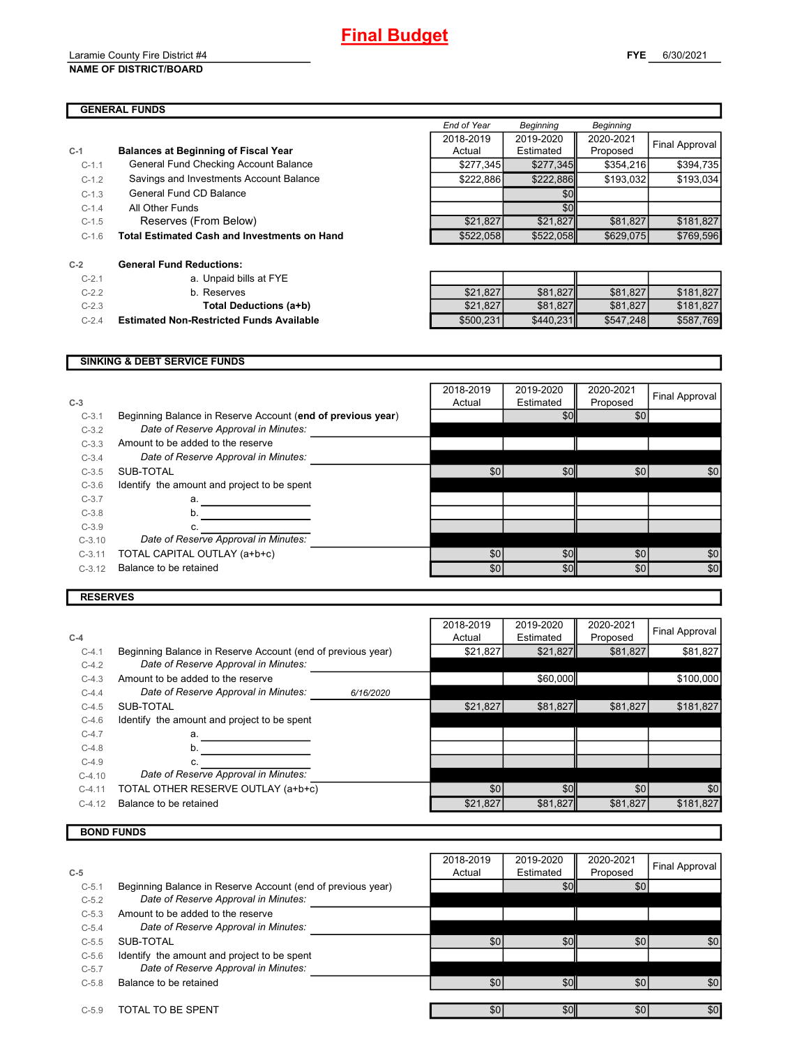#### Laramie County Fire District #4 **NAME OF DISTRICT/BOARD**

## **GENERAL FUNDS**

|         | <b>OLINLIVAL I UNDO</b>                             |             |                  |                  |                |
|---------|-----------------------------------------------------|-------------|------------------|------------------|----------------|
|         |                                                     | End of Year | <b>Beginning</b> | <b>Beginning</b> |                |
|         |                                                     | 2018-2019   | 2019-2020        | 2020-2021        |                |
|         | <b>Balances at Beginning of Fiscal Year</b>         | Actual      | Estimated        | Proposed         | Final Approval |
| $C-1.1$ | General Fund Checking Account Balance               | \$277.345   | \$277.345        | \$354.216        | \$394.735      |
| $C-1.2$ | Savings and Investments Account Balance             | \$222.886   | \$222.886        | \$193.032        | \$193.034      |
| $C-1.3$ | General Fund CD Balance                             |             | \$0              |                  |                |
| $C-1.4$ | All Other Funds                                     |             | \$0              |                  |                |
| $C-1.5$ | Reserves (From Below)                               | \$21,827    | \$21.827         | \$81,827         | \$181,827      |
| $C-1.6$ | <b>Total Estimated Cash and Investments on Hand</b> | \$522,058   | \$522,058        | \$629,075        | \$769,596      |

| $C-2$    | <b>General Fund Reductions:</b>               |
|----------|-----------------------------------------------|
| $C - 21$ | a. Unpaid bills at FYE                        |
| $C-2.2$  | b. Reserves                                   |
| $C-2.3$  | Total Deductions (a+b)                        |
| $C - 24$ | <b>Estimated Non-Restricted Funds Availab</b> |

**C-1 Balances at Beginning of Fiscal Year**

| $C-2.1$ | a. Unpaid bills at FYE                          |           |           |           |           |
|---------|-------------------------------------------------|-----------|-----------|-----------|-----------|
| $C-2.2$ | b. Reserves                                     | \$21.827  | \$81,827  | \$81.827  | \$181.827 |
| $C-2.3$ | Total Deductions (a+b)                          | \$21.827  | \$81.827  | \$81.827  | \$181.827 |
| $C-2.4$ | <b>Estimated Non-Restricted Funds Available</b> | \$500.231 | \$440.231 | \$547.248 | \$587,769 |

## **SINKING & DEBT SERVICE FUNDS**

| $C-3$    |                                                             | 2018-2019<br>Actual | 2019-2020<br>Estimated | 2020-2021<br>Proposed | <b>Final Approval</b> |
|----------|-------------------------------------------------------------|---------------------|------------------------|-----------------------|-----------------------|
| $C-3.1$  | Beginning Balance in Reserve Account (end of previous year) |                     | \$0                    | \$0                   |                       |
| $C-3.2$  | Date of Reserve Approval in Minutes:                        |                     |                        |                       |                       |
| $C-3.3$  | Amount to be added to the reserve                           |                     |                        |                       |                       |
| $C-3.4$  | Date of Reserve Approval in Minutes:                        |                     |                        |                       |                       |
| $C-3.5$  | SUB-TOTAL                                                   | \$0                 | \$0                    | \$0                   | \$0                   |
| $C-3.6$  | Identify the amount and project to be spent                 |                     |                        |                       |                       |
| $C-3.7$  | a.                                                          |                     |                        |                       |                       |
| $C-3.8$  | b.                                                          |                     |                        |                       |                       |
| $C-3.9$  |                                                             |                     |                        |                       |                       |
| $C-3.10$ | Date of Reserve Approval in Minutes:                        |                     |                        |                       |                       |
| $C-3.11$ | TOTAL CAPITAL OUTLAY (a+b+c)                                | \$0                 | \$0                    | \$0                   | \$0                   |
| $C-3.12$ | Balance to be retained                                      | \$0                 | \$0                    | \$0                   | \$0                   |
|          |                                                             |                     |                        |                       |                       |

## **RESERVES**

|          |                                                             |           | 2018-2019 | 2019-2020 | 2020-2021 | Final Approval |
|----------|-------------------------------------------------------------|-----------|-----------|-----------|-----------|----------------|
| $C-4$    |                                                             |           | Actual    | Estimated | Proposed  |                |
| $C-4.1$  | Beginning Balance in Reserve Account (end of previous year) |           | \$21,827  | \$21,827  | \$81,827  | \$81,827       |
| $C-4.2$  | Date of Reserve Approval in Minutes:                        |           |           |           |           |                |
| $C-4.3$  | Amount to be added to the reserve                           |           |           | \$60,000  |           | \$100,000      |
| $C-4.4$  | Date of Reserve Approval in Minutes:                        | 6/16/2020 |           |           |           |                |
| $C-4.5$  | SUB-TOTAL                                                   |           | \$21,827  | \$81,827  | \$81,827  | \$181.827      |
| $C-4.6$  | Identify the amount and project to be spent                 |           |           |           |           |                |
| $C-4.7$  | a.                                                          |           |           |           |           |                |
| $C-4.8$  | b.                                                          |           |           |           |           |                |
| $C-4.9$  |                                                             |           |           |           |           |                |
| $C-4.10$ | Date of Reserve Approval in Minutes:                        |           |           |           |           |                |
| $C-4.11$ | TOTAL OTHER RESERVE OUTLAY (a+b+c)                          |           | \$0       | \$0       | \$0       | \$0            |
| $C-4.12$ | Balance to be retained                                      |           | \$21,827  | \$81,827  | \$81,827  | \$181.827      |
|          |                                                             |           |           |           |           |                |

## **BOND FUNDS**

|         |                                                             | 2018-2019 | 2019-2020   | 2020-2021 | Final Approval |
|---------|-------------------------------------------------------------|-----------|-------------|-----------|----------------|
| $C-5$   |                                                             | Actual    | Estimated   | Proposed  |                |
| $C-5.1$ | Beginning Balance in Reserve Account (end of previous year) |           | \$0         | \$0       |                |
| $C-5.2$ | Date of Reserve Approval in Minutes:                        |           |             |           |                |
| $C-5.3$ | Amount to be added to the reserve                           |           |             |           |                |
| $C-5.4$ | Date of Reserve Approval in Minutes:                        |           |             |           |                |
| $C-5.5$ | SUB-TOTAL                                                   | \$0       | \$0         | \$0       | \$0            |
| $C-5.6$ | Identify the amount and project to be spent                 |           |             |           |                |
| $C-5.7$ | Date of Reserve Approval in Minutes:                        |           |             |           |                |
| $C-5.8$ | Balance to be retained                                      | \$0       | <b>\$01</b> | \$0       | \$0            |
|         |                                                             |           |             |           |                |
| $C-5.9$ | TOTAL TO BE SPENT                                           | \$0       | \$0         | \$0       | \$0            |

**FYE** 6/30/2021